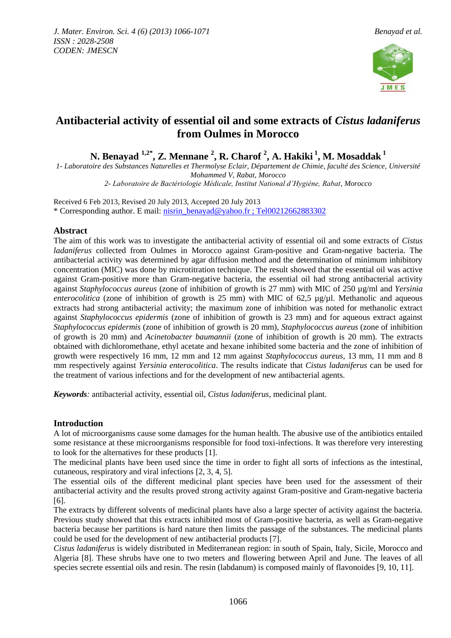

# **Antibacterial activity of essential oil and some extracts of** *Cistus ladaniferus* **from Oulmes in Morocco**

**N. Benayad 1,2\* , Z. Mennane <sup>2</sup> , R. Charof <sup>2</sup> , A. Hakiki <sup>1</sup> , M. Mosaddak <sup>1</sup>**

*1- Laboratoire des Substances Naturelles et Thermolyse Eclair, Département de Chimie, faculté des Science, Université Mohammed V, Rabat, Morocco*

*2- Laboratoire de Bactériologie Médicale, Institut National d'Hygiène, Rabat, Morocco*

Received 6 Feb 2013, Revised 20 July 2013, Accepted 20 July 2013 \* Corresponding author. E mail: [nisrin\\_benayad@yahoo.fr](mailto:nisrin_benayad@yahoo.fr) ; Tel00212662883302

# **Abstract**

The aim of this work was to investigate the antibacterial activity of essential oil and some extracts of *Cistus ladaniferus* collected from Oulmes in Morocco against Gram-positive and Gram-negative bacteria. The antibacterial activity was determined by agar diffusion method and the determination of minimum inhibitory concentration (MIC) was done by microtitration technique. The result showed that the essential oil was active against Gram-positive more than Gram-negative bacteria, the essential oil had strong antibacterial activity against *Staphylococcus aureus* (zone of inhibition of growth is 27 mm) with MIC of 250 µg/ml and *Yersinia enterocolitica* (zone of inhibition of growth is 25 mm) with MIC of 62,5  $\mu$ g/ $\mu$ l. Methanolic and aqueous extracts had strong antibacterial activity; the maximum zone of inhibition was noted for methanolic extract against *Staphylococcus epidermis* (zone of inhibition of growth is 23 mm) and for aqueous extract against *Staphylococcus epidermis* (zone of inhibition of growth is 20 mm), *Staphylococcus aureus* (zone of inhibition of growth is 20 mm) and *Acinetobacter baumannii* (zone of inhibition of growth is 20 mm). The extracts obtained with dichloromethane, ethyl acetate and hexane inhibited some bacteria and the zone of inhibition of growth were respectively 16 mm, 12 mm and 12 mm against *Staphylococcus aureus,* 13 mm, 11 mm and 8 mm respectively against *Yersinia enterocolitica*. The results indicate that *Cistus ladaniferus* can be used for the treatment of various infections and for the development of new antibacterial agents.

*Keywords:* antibacterial activity, essential oil, *Cistus ladaniferus*, medicinal plant.

# **Introduction**

A lot of microorganisms cause some damages for the human health. The abusive use of the antibiotics entailed some resistance at these microorganisms responsible for food toxi-infections. It was therefore very interesting to look for the alternatives for these products [1].

The medicinal plants have been used since the time in order to fight all sorts of infections as the intestinal, cutaneous, respiratory and viral infections [2, 3, 4, 5].

The essential oils of the different medicinal plant species have been used for the assessment of their antibacterial activity and the results proved strong activity against Gram-positive and Gram-negative bacteria [6].

The extracts by different solvents of medicinal plants have also a large specter of activity against the bacteria. Previous study showed that this extracts inhibited most of Gram-positive bacteria, as well as Gram-negative bacteria because her partitions is hard nature then limits the passage of the substances. The medicinal plants could be used for the development of new antibacterial products [7].

*Cistus ladaniferus* is widely distributed in Mediterranean region: in south of Spain, Italy, Sicile, Morocco and Algeria [8]. These shrubs have one to two meters and flowering between April and June. The leaves of all species secrete essential oils and resin. The resin (labdanum) is composed mainly of flavonoides [9, 10, 11].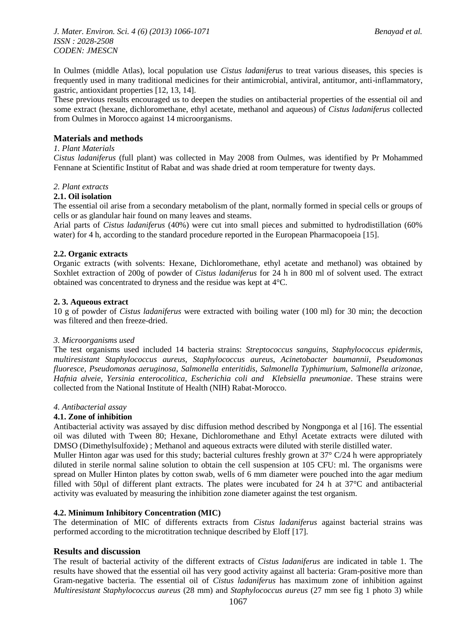*J. Mater. Environ. Sci. 4 (6) (2013) 1066-1071 Benayad et al. ISSN : 2028-2508 CODEN: JMESCN*

In Oulmes (middle Atlas), local population use *Cistus ladaniferus* to treat various diseases, this species is frequently used in many traditional medicines for their antimicrobial, antiviral, antitumor, anti-inflammatory, gastric, antioxidant properties [12, 13, 14].

These previous results encouraged us to deepen the studies on antibacterial properties of the essential oil and some extract (hexane, dichloromethane, ethyl acetate, methanol and aqueous) of *Cistus ladaniferus* collected from Oulmes in Morocco against 14 microorganisms.

# **Materials and methods**

# *1. Plant Materials*

*Cistus ladaniferus* (full plant) was collected in May 2008 from Oulmes, was identified by Pr Mohammed Fennane at Scientific Institut of Rabat and was shade dried at room temperature for twenty days.

# *2. Plant extracts*

#### **2.1. Oil isolation**

The essential oil arise from a secondary metabolism of the plant, normally formed in special cells or groups of cells or as glandular hair found on many leaves and steams.

Arial parts of *Cistus ladaniferus* (40%) were cut into small pieces and submitted to hydrodistillation (60% water) for 4 h, according to the standard procedure reported in the European Pharmacopoeia [15].

# **2.2. Organic extracts**

Organic extracts (with solvents: Hexane, Dichloromethane, ethyl acetate and methanol) was obtained by Soxhlet extraction of 200g of powder of *Cistus ladaniferus* for 24 h in 800 ml of solvent used. The extract obtained was concentrated to dryness and the residue was kept at 4°C.

#### **2. 3. Aqueous extract**

10 g of powder of *Cistus ladaniferus* were extracted with boiling water (100 ml) for 30 min; the decoction was filtered and then freeze-dried.

# *3. Microorganisms used*

The test organisms used included 14 bacteria strains: *Streptococcus sanguins, Staphylococcus epidermis, multiresistant Staphylococcus aureus, Staphylococcus aureus, Acinetobacter baumannii, Pseudomonas fluoresce, Pseudomonas aeruginosa, Salmonella enteritidis, Salmonella Typhimurium, Salmonella arizonae, Hafnia alveie, Yersinia enterocolitica, Escherichia coli and Klebsiella pneumoniae*. These strains were collected from the National Institute of Health (NIH) Rabat-Morocco.

# *4. Antibacterial assay*

# **4.1. Zone of inhibition**

Antibacterial activity was assayed by disc diffusion method described by Nongponga et al [16]. The essential oil was diluted with Tween 80; Hexane, Dichloromethane and Ethyl Acetate extracts were diluted with DMSO (Dimethylsulfoxide) ; Methanol and aqueous extracts were diluted with sterile distilled water.

Muller Hinton agar was used for this study; bacterial cultures freshly grown at 37° C/24 h were appropriately diluted in sterile normal saline solution to obtain the cell suspension at 105 CFU: ml. The organisms were spread on Muller Hinton plates by cotton swab, wells of 6 mm diameter were pouched into the agar medium filled with 50µl of different plant extracts. The plates were incubated for 24 h at 37°C and antibacterial activity was evaluated by measuring the inhibition zone diameter against the test organism.

# **4.2. Minimum Inhibitory Concentration (MIC)**

The determination of MIC of differents extracts from *Cistus ladaniferus* against bacterial strains was performed according to the microtitration technique described by Eloff [17].

# **Results and discussion**

The result of bacterial activity of the different extracts of *Cistus ladaniferus* are indicated in table 1. The results have showed that the essential oil has very good activity against all bacteria: Gram-positive more than Gram-negative bacteria. The essential oil of *Cistus ladaniferus* has maximum zone of inhibition against *Multiresistant Staphylococcus aureus* (28 mm) and *Staphylococcus aureus* (27 mm see fig 1 photo 3) while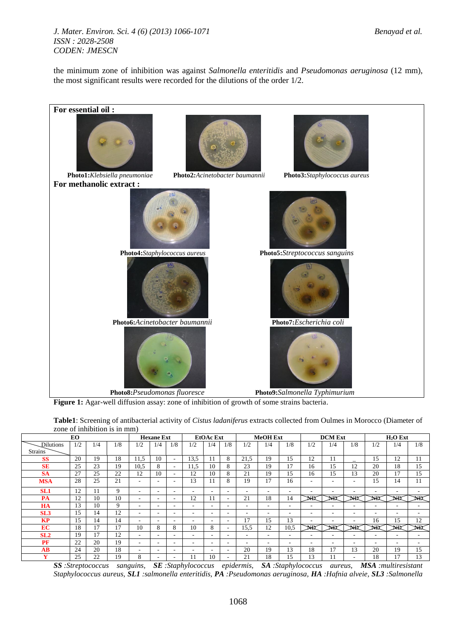*J. Mater. Environ. Sci. 4 (6) (2013) 1066-1071 Benayad et al. ISSN : 2028-2508 CODEN: JMESCN*

the minimum zone of inhibition was against *Salmonella enteritidis* and *Pseudomonas aeruginosa* (12 mm), the most significant results were recorded for the dilutions of the order 1/2.



**Figure 1:** Agar-well diffusion assay: zone of inhibition of growth of some strains bacteria.

| Table1: Screening of antibacterial activity of Cistus ladaniferus extracts collected from Oulmes in Morocco (Diameter of |  |
|--------------------------------------------------------------------------------------------------------------------------|--|
| zone of inhibition is in mm)                                                                                             |  |

| EO              |     |     | <b>Hexane Ext</b> |                          |                          | <b>EtOAc</b> Ext         |                          |     | <b>MeOH</b> Ext          |      |     |                          | <b>DCM</b> Ext           |     | $H2O$ Ext |                          |     |     |
|-----------------|-----|-----|-------------------|--------------------------|--------------------------|--------------------------|--------------------------|-----|--------------------------|------|-----|--------------------------|--------------------------|-----|-----------|--------------------------|-----|-----|
| Dilutions       | 1/2 | 1/4 | 1/8               | 1/2                      | 1/4                      | 1/8                      | 1/2                      | 1/4 | 1/8                      | 1/2  | 1/4 | 1/8                      | 1/2                      | 1/4 | 1/8       | 1/2                      | 1/4 | 1/8 |
| <b>Strains</b>  |     |     |                   |                          |                          |                          |                          |     |                          |      |     |                          |                          |     |           |                          |     |     |
| <b>SS</b>       | 20  | 19  | 18                | 11,5                     | 10                       | $\overline{\phantom{0}}$ | 13,5                     |     | 8                        | 21,5 | 19  | 15                       | 12                       | 11  |           | 15                       | 12  | 11  |
| <b>SE</b>       | 25  | 23  | 19                | 10,5                     | 8                        | $\overline{\phantom{a}}$ | 11,5                     | 10  | 8                        | 23   | 19  | 17                       | 16                       | 15  | 12        | 20                       | 18  | 15  |
| <b>SA</b>       | 27  | 25  | 22                | 12                       | 10                       | $\sim$                   | 12                       | 10  | 8                        | 21   | 19  | 15                       | 16                       | 15  | 13        | 20                       | 17  | 15  |
| <b>MSA</b>      | 28  | 25  | 21                | $\overline{\phantom{a}}$ | $\overline{\phantom{a}}$ | $\overline{\phantom{a}}$ | 13                       |     | 8                        | 19   | 17  | 16                       | $\overline{\phantom{a}}$ | ۰   | ۰         | 15                       | 14  | 11  |
| SL <sub>1</sub> | 12  | 11  | 9                 | $\overline{\phantom{a}}$ | $\overline{\phantom{a}}$ | $\overline{\phantom{a}}$ | ۰                        | ۰   | $\overline{\phantom{a}}$ | ۰    | ۰   | $\overline{\phantom{0}}$ | $\overline{\phantom{a}}$ | ۰   | ۰         | $\overline{\phantom{a}}$ | ۰   | -   |
| PA              | 12  | 10  | 10                |                          | $\overline{\phantom{a}}$ | $\overline{\phantom{a}}$ | 12                       |     | $\overline{\phantom{a}}$ | 21   | 18  | 14                       | ΝĐ                       | NЮ  | NЮ        | ЫR                       |     | NЮ  |
| <b>HA</b>       | 13  | 10  | 9                 | $\overline{\phantom{a}}$ | $\sim$                   | $\overline{\phantom{a}}$ | $\overline{\phantom{a}}$ | ۰.  | $\overline{\phantom{a}}$ | ۰    | ۰   |                          | $\overline{\phantom{a}}$ | ۰   | ۰.        |                          | ۰   | -   |
| SL <sub>3</sub> | 15  | 14  | 12                | $\overline{\phantom{a}}$ | $\overline{\phantom{a}}$ | $\overline{\phantom{a}}$ | $\overline{\phantom{a}}$ |     | $\overline{\phantom{a}}$ | ۰    | ۰   | ۰                        |                          | ۰   | ۰.        | $\overline{\phantom{a}}$ | ۰.  | ۰   |
| <b>KP</b>       | 15  | 14  | 14                | $\overline{\phantom{a}}$ | $\sim$                   | $\overline{\phantom{a}}$ | $\overline{\phantom{a}}$ | ۰.  | $\overline{\phantom{a}}$ | 17   | 15  | 13                       | $\overline{\phantom{a}}$ | ۰   | ۰.        | 16                       | 15  | 12  |
| EC              | 18  | 17  | 17                | 10                       | 8                        | 8                        | 10                       | 8   | $\overline{\phantom{a}}$ | 15,5 | 12  | 10.5                     | NR                       | NR  | NR        | NR                       | NR  | NŔ  |
| SL <sub>2</sub> | 19  | 17  | 12                | ۰                        | $\overline{\phantom{a}}$ | $\overline{\phantom{a}}$ | $\overline{\phantom{a}}$ |     | $\overline{\phantom{a}}$ | ۰    | ۰   | ۰                        | $\overline{\phantom{a}}$ | ۰   | ۰.        | $\overline{\phantom{a}}$ | ۰.  | -   |
| PF              | 22  | 20  | 19                |                          | $\sim$                   | $\overline{\phantom{a}}$ | $\overline{\phantom{a}}$ | ۰.  | $\overline{\phantom{a}}$ |      | ۰   | ۰                        | $\overline{\phantom{a}}$ | ۰   | ۰.        | $\overline{\phantom{a}}$ | ۰   | -   |
| AВ              | 24  | 20  | 18                | $\overline{\phantom{a}}$ | $\sim$                   | $\overline{\phantom{a}}$ | ۰                        | ۰   | $\overline{\phantom{a}}$ | 20   | 19  | 13                       | 18                       | 17  | 13        | 20                       | 19  | 15  |
| $\mathbf{v}$    | 25  | 22  | 19                | 8                        |                          |                          |                          | 10  |                          | 21   | 18  | 15                       | 13                       |     |           | 18                       | 17  | 13  |

*SS :Streptococcus sanguins, SE :Staphylococcus epidermis, SA :Staphylococcus aureus, MSA :multiresistant Staphylococcus aureus, SL1 :salmonella enteritidis, PA :Pseudomonas aeruginosa, HA :Hafnia alveie, SL3 :Salmonella*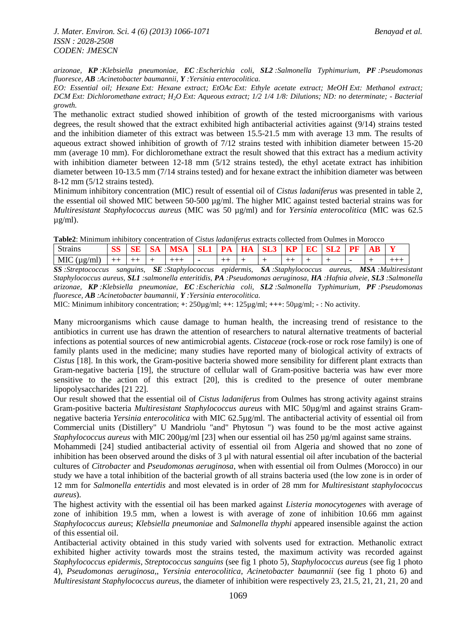*arizonae, KP :Klebsiella pneumoniae, EC :Escherichia coli, SL2 :Salmonella Typhimurium, PF :Pseudomonas fluoresce, AB :Acinetobacter baumannii, Y :Yersinia enterocolitica.*

*EO: Essential oil; Hexane Ext: Hexane extract; EtOAc Ext: Ethyle acetate extract; MeOH Ext: Methanol extract; DCM Ext: Dichloromethane extract; H2O Ext: Aqueous extract; 1/2 1/4 1/8: Dilutions; ND: no determinate; - Bacterial growth.* 

The methanolic extract studied showed inhibition of growth of the tested microorganisms with various degrees, the result showed that the extract exhibited high antibacterial activities against (9/14) strains tested and the inhibition diameter of this extract was between 15.5-21.5 mm with average 13 mm. The results of aqueous extract showed inhibition of growth of 7/12 strains tested with inhibition diameter between 15-20 mm (average 10 mm). For dichloromethane extract the result showed that this extract has a medium activity with inhibition diameter between 12-18 mm (5/12 strains tested), the ethyl acetate extract has inhibition diameter between 10-13.5 mm (7/14 strains tested) and for hexane extract the inhibition diameter was between 8-12 mm (5/12 strains tested).

Minimum inhibitory concentration (MIC) result of essential oil of *Cistus ladaniferus* was presented in table 2, the essential oil showed MIC between 50-500 µg/ml. The higher MIC against tested bacterial strains was for *Multiresistant Staphylococcus aureus* (MIC was 50 µg/ml) and for *Yersinia enterocolitica* (MIC was 62.5 µg/ml).

| Table2: Minimum inhibitory concentration of <i>Cistus ladaniferus</i> extracts collected from Oulmes in Morocco |  |
|-----------------------------------------------------------------------------------------------------------------|--|
|-----------------------------------------------------------------------------------------------------------------|--|

| Strains       | $\alpha$<br>س | ۱A | SА.<br><b>WIN</b> |                          | PА | HA | SL3 | ----<br>-KP | R. | PF |  |
|---------------|---------------|----|-------------------|--------------------------|----|----|-----|-------------|----|----|--|
| $MIC$ (µg/ml) | ___           |    |                   | $\overline{\phantom{0}}$ |    |    |     |             |    |    |  |

*SS :Streptococcus sanguins, SE :Staphylococcus epidermis, SA :Staphylococcus aureus, MSA :Multiresistant Staphylococcus aureus, SL1 :salmonella enteritidis, PA :Pseudomonas aeruginosa, HA :Hafnia alveie, SL3 :Salmonella arizonae, KP :Klebsiella pneumoniae, EC :Escherichia coli, SL2 :Salmonella Typhimurium, PF :Pseudomonas fluoresce, AB :Acinetobacter baumannii, Y :Yersinia enterocolitica.*

MIC: Minimum inhibitory concentration; **+**: 250µg/ml; **++**: 125µg/ml; **+++**: 50µg/ml; **-** : No activity.

Many microorganisms which cause damage to human health, the increasing trend of resistance to the antibiotics in current use has drawn the attention of researchers to natural alternative treatments of bacterial infections as potential sources of new antimicrobial agents. *Cistaceae* (rock-rose or rock rose family) is one of family plants used in the medicine; many studies have reported many of biological activity of extracts of *Cistus* [18]. In this work, the Gram-positive bacteria showed more sensibility for different plant extracts than Gram-negative bacteria [19], the structure of cellular wall of Gram-positive bacteria was haw ever more sensitive to the action of this extract [20], this is credited to the presence of outer membrane lipopolysaccharides [21 22].

Our result showed that the essential oil of *Cistus ladaniferus* from Oulmes has strong activity against strains Gram-positive bacteria *Multiresistant Staphylococcus aureus* with MIC 50µg/ml and against strains Gramnegative bacteria *Yersinia enterocolitica* with MIC 62.5µg/ml. The antibacterial activity of essential oil from Commercial units (Distillery" U Mandriolu "and" Phytosun ") was found to be the most active against *Staphylococcus aureus* with MIC 200µg/ml [23] when our essential oil has 250 µg/ml against same strains.

Mohammedi [24] studied antibacterial activity of essential oil from Algeria and showed that no zone of inhibition has been observed around the disks of 3 µl with natural essential oil after incubation of the bacterial cultures of *Citrobacter* and *Pseudomonas aeruginosa*, when with essential oil from Oulmes (Morocco) in our study we have a total inhibition of the bacterial growth of all strains bacteria used (the low zone is in order of 12 mm for *Salmonella entertidis* and most elevated is in order of 28 mm for *Multiresistant staphylococcus aureus*).

The highest activity with the essential oil has been marked against *Listeria monocytogenes* with average of zone of inhibition 19.5 mm, when a lowest is with average of zone of inhibition 10.66 mm against *Staphylococcus aureus*; *Klebsiella pneumoniae* and *Salmonella thyphi* appeared insensible against the action of this essential oil.

Antibacterial activity obtained in this study varied with solvents used for extraction. Methanolic extract exhibited higher activity towards most the strains tested, the maximum activity was recorded against *Staphylococcus epidermis*, *Streptococcus sanguins* (see fig 1 photo 5), *Staphylococcus aureus* (see fig 1 photo 4), *Pseudomonas aeruginosa,*, *Yersinia enterocolitica*, *Acinetobacter baumannii* (see fig 1 photo 6) and *Multiresistant Staphylococcus aureus*, the diameter of inhibition were respectively 23, 21.5, 21, 21, 21, 20 and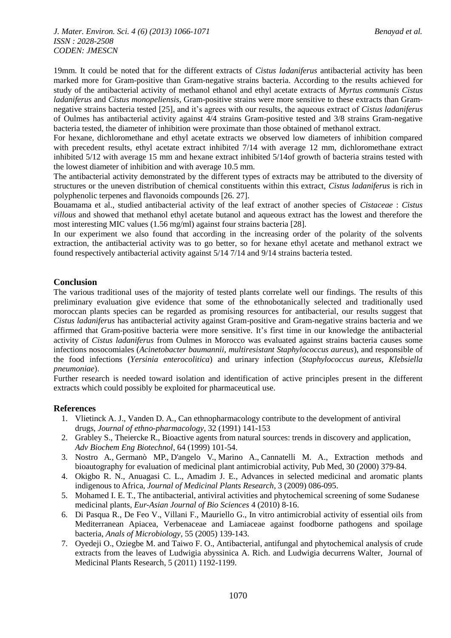19mm. It could be noted that for the different extracts of *Cistus ladaniferus* antibacterial activity has been marked more for Gram-positive than Gram-negative strains bacteria. According to the results achieved for study of the antibacterial activity of methanol ethanol and ethyl acetate extracts of *Myrtus communis Cistus ladaniferus* and *Cistus monopeliensis*, Gram-positive strains were more sensitive to these extracts than Gramnegative strains bacteria tested [25], and it's agrees with our results, the aqueous extract of *Cistus ladaniferus* of Oulmes has antibacterial activity against 4/4 strains Gram-positive tested and 3/8 strains Gram-negative bacteria tested, the diameter of inhibition were proximate than those obtained of methanol extract.

For hexane, dichloromethane and ethyl acetate extracts we observed low diameters of inhibition compared with precedent results, ethyl acetate extract inhibited 7/14 with average 12 mm, dichloromethane extract inhibited 5/12 with average 15 mm and hexane extract inhibited 5/14of growth of bacteria strains tested with the lowest diameter of inhibition and with average 10.5 mm.

The antibacterial activity demonstrated by the different types of extracts may be attributed to the diversity of structures or the uneven distribution of chemical constituents within this extract, *Cistus ladaniferus* is rich in polyphenolic terpenes and flavonoids compounds [26. 27].

Bouamama et al., studied antibacterial activity of the leaf extract of another species of *Cistaceae* : *Cistus villous* and showed that methanol ethyl acetate butanol and aqueous extract has the lowest and therefore the most interesting MIC values (1.56 mg/ml) against four strains bacteria [28].

In our experiment we also found that according in the increasing order of the polarity of the solvents extraction, the antibacterial activity was to go better, so for hexane ethyl acetate and methanol extract we found respectively antibacterial activity against 5/14 7/14 and 9/14 strains bacteria tested.

# **Conclusion**

The various traditional uses of the majority of tested plants correlate well our findings. The results of this preliminary evaluation give evidence that some of the ethnobotanically selected and traditionally used moroccan plants species can be regarded as promising resources for antibacterial, our results suggest that *Cistus ladaniferus* has antibacterial activity against Gram-positive and Gram-negative strains bacteria and we affirmed that Gram-positive bacteria were more sensitive. It's first time in our knowledge the antibacterial activity of *Cistus ladaniferus* from Oulmes in Morocco was evaluated against strains bacteria causes some infections nosocomiales (*Acinetobacter baumannii, multiresistant Staphylococcus aureus*), and responsible of the food infections (*Yersinia enterocolitica*) and urinary infection (*Staphylococcus aureus, Klebsiella pneumoniae*).

Further research is needed toward isolation and identification of active principles present in the different extracts which could possibly be exploited for pharmaceutical use.

# **References**

- 1. Vlietinck A. J., Vanden D. A., Can ethnopharmacology contribute to the development of antiviral drugs, *Journal of ethno-pharmacology*, 32 (1991) 141-153
- 2. Grabley S., Theiercke R., Bioactive agents from natural sources: trends in discovery and application, *Adv Biochem Eng Biotechnol,* 64 (1999) 101-54.
- 3. [Nostro A](http://www.ncbi.nlm.nih.gov/pubmed?term=Nostro%20A%5BAuthor%5D&cauthor=true&cauthor_uid=10792667)., [Germanò MP.](http://www.ncbi.nlm.nih.gov/pubmed?term=German%C3%B2%20MP%5BAuthor%5D&cauthor=true&cauthor_uid=10792667), [D'angelo V.](http://www.ncbi.nlm.nih.gov/pubmed?term=D), [Marino A.](http://www.ncbi.nlm.nih.gov/pubmed?term=Marino%20A%5BAuthor%5D&cauthor=true&cauthor_uid=10792667), [Cannatelli M. A.](http://www.ncbi.nlm.nih.gov/pubmed?term=Cannatelli%20MA%5BAuthor%5D&cauthor=true&cauthor_uid=10792667), Extraction methods and bioautography for evaluation of medicinal plant antimicrobial activity, Pub Med, 30 (2000) 379-84.
- 4. Okigbo R. N., Anuagasi C. L., Amadim J. E., Advances in selected medicinal and aromatic plants indigenous to Africa, *Journal of Medicinal Plants Research*, 3 (2009) 086-095.
- 5. Mohamed I. E. T., The antibacterial, antiviral activities and phytochemical screening of some Sudanese medicinal plants, *Eur-Asian Journal of Bio Sciences* 4 (2010) 8-16.
- 6. Di Pasqua R., De Feo V., Villani F., Mauriello G., In vitro antimicrobial activity of essential oils from Mediterranean Apiacea, Verbenaceae and Lamiaceae against foodborne pathogens and spoilage bacteria, *Anals of Microbiology*, 55 (2005) 139-143.
- 7. Oyedeji O., Oziegbe M. and Taiwo F. O., Antibacterial, antifungal and phytochemical analysis of crude extracts from the leaves of Ludwigia abyssinica A. Rich. and Ludwigia decurrens Walter, Journal of Medicinal Plants Research, 5 (2011) 1192-1199.